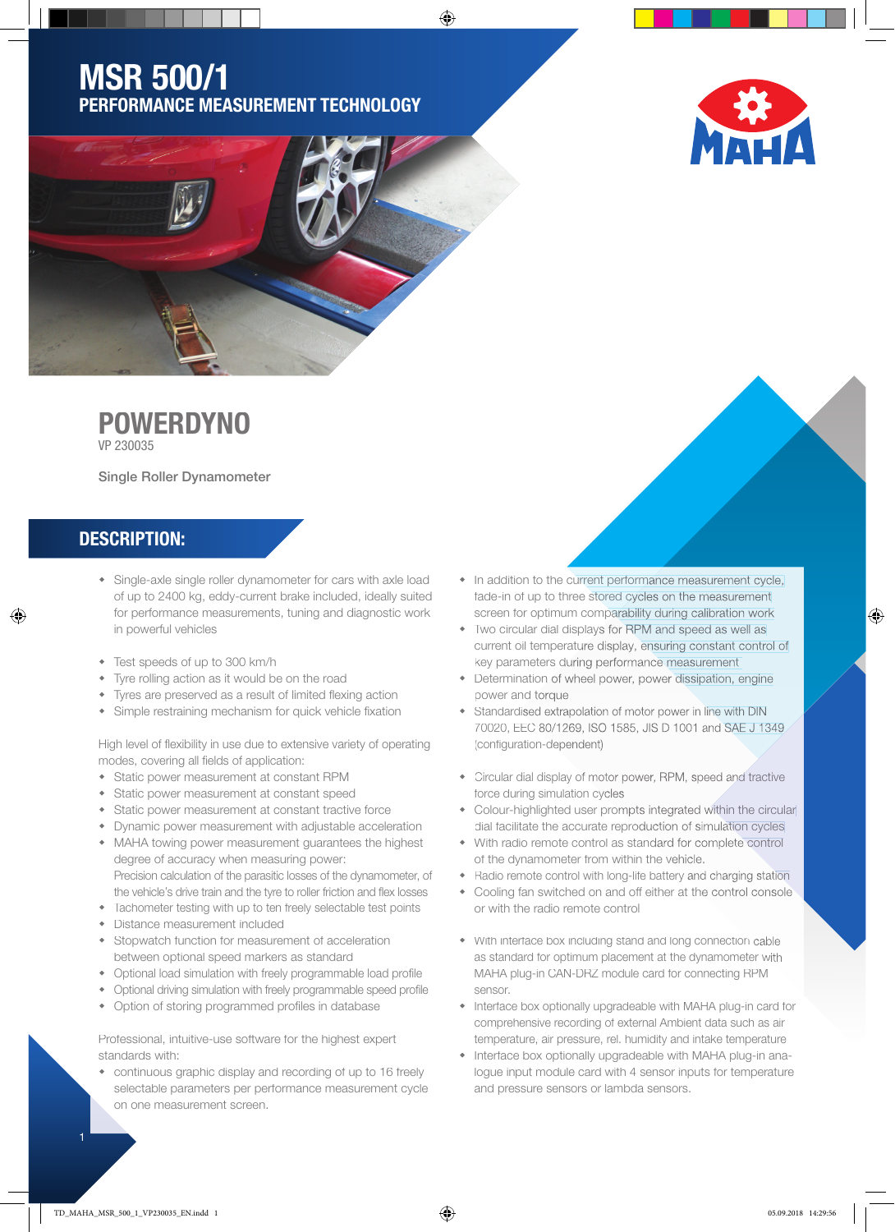## MSR 500/1 PERFORMANCE MEASUREMENT TECHNOLOGY

⊕

**POWERDYNO** 

VP 230035

Single Roller Dynamometer

### DESCRIPTION:

⊕

- Single-axle single roller dynamometer for cars with axle load of up to 2400 kg, eddy-current brake included, ideally suited for performance measurements, tuning and diagnostic work in powerful vehicles
- Test speeds of up to 300 km/h
- Tyre rolling action as it would be on the road
- Tyres are preserved as a result of limited flexing action
- Simple restraining mechanism for quick vehicle fixation

High level of flexibility in use due to extensive variety of operating modes, covering all fields of application:

- Static power measurement at constant RPM
- Static power measurement at constant speed
- Static power measurement at constant tractive force
- Dynamic power measurement with adjustable acceleration
- MAHA towing power measurement guarantees the highest degree of accuracy when measuring power:
- Precision calculation of the parasitic losses of the dynamometer, of the vehicle's drive train and the tyre to roller friction and flex losses
- Tachometer testing with up to ten freely selectable test points
- Distance measurement included
- Stopwatch function for measurement of acceleration between optional speed markers as standard
- Optional load simulation with freely programmable load profile
- Optional driving simulation with freely programmable speed profile
- Option of storing programmed profiles in database

Professional, intuitive-use software for the highest expert standards with:

 continuous graphic display and recording of up to 16 freely selectable parameters per performance measurement cycle on one measurement screen.

- In addition to the current performance measurement cycle, fade-in of up to three stored cycles on the measurement screen for optimum comparability during calibration work
- Two circular dial displays for RPM and speed as well as current oil temperature display, ensuring constant control of key parameters during performance measurement
- Determination of wheel power, power dissipation, engine power and torque
- Standardised extrapolation of motor power in line with DIN 70020, EEC 80/1269, ISO 1585, JIS D 1001 and SAE J 1349 (configuration-dependent)
- Circular dial display of motor power, RPM, speed and tractive force during simulation cycles
- Colour-highlighted user prompts integrated within the circular dial facilitate the accurate reproduction of simulation cycles
- With radio remote control as standard for complete control of the dynamometer from within the vehicle.
- Radio remote control with long-life battery and charging station
- Cooling fan switched on and off either at the control console or with the radio remote control
- With interface box including stand and long connection cable as standard for optimum placement at the dynamometer with MAHA plug-in CAN-DRZ module card for connecting RPM sensor.
- Interface box optionally upgradeable with MAHA plug-in card for comprehensive recording of external Ambient data such as air temperature, air pressure, rel. humidity and intake temperature
- Interface box optionally upgradeable with MAHA plug-in analogue input module card with 4 sensor inputs for temperature and pressure sensors or lambda sensors.

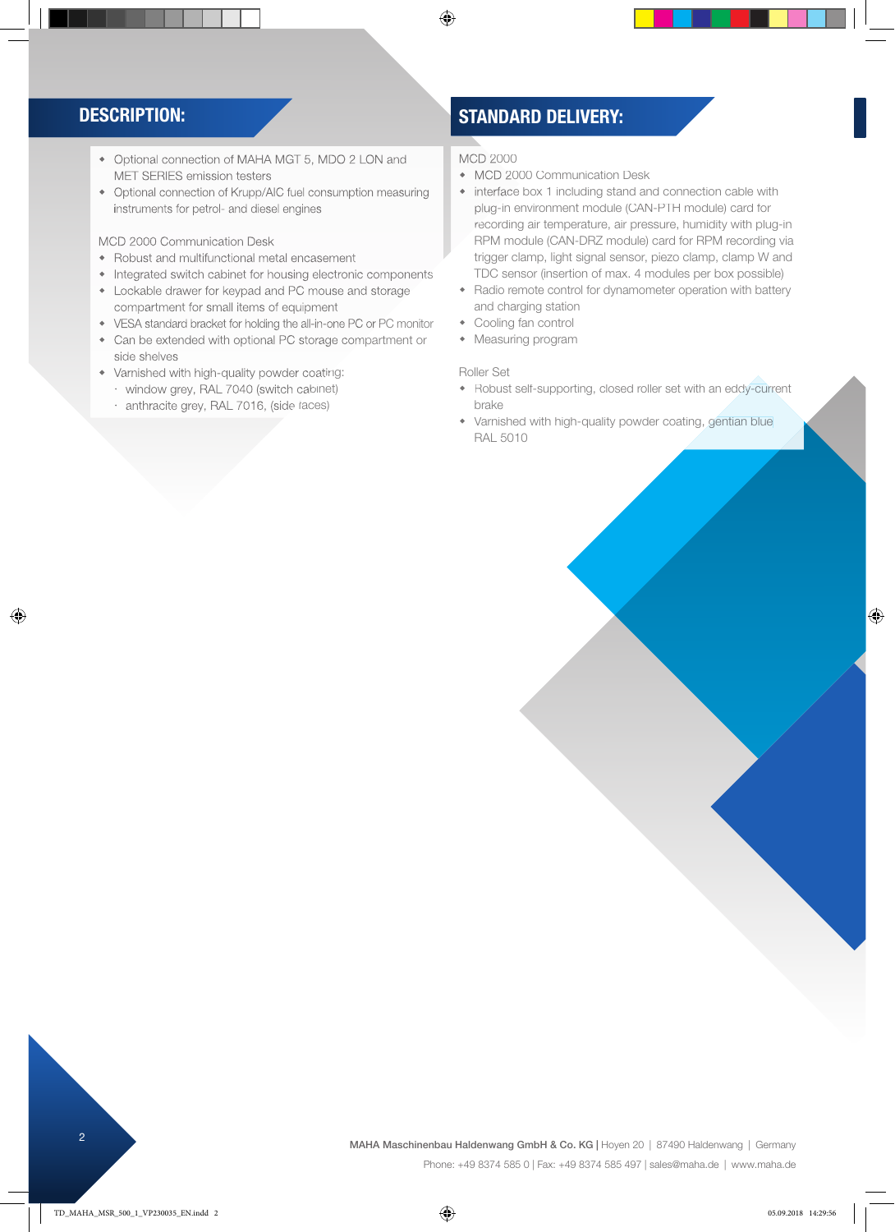◈

- Optional connection of MAHA MGT 5, MDO 2 LON and MET SERIES emission testers
- Optional connection of Krupp/AIC fuel consumption measuring instruments for petrol- and diesel engines

MCD 2000 Communication Desk

- Robust and multifunctional metal encasement
- Integrated switch cabinet for housing electronic components
- Lockable drawer for keypad and PC mouse and storage compartment for small items of equipment
- VESA standard bracket for holding the all-in-one PC or PC monitor Can be extended with optional PC storage compartment or
- side shelves
- Varnished with high-quality powder coating:
	- window grey, RAL 7040 (switch cabinet)
	- anthracite grey, RAL 7016, (side faces)

### DESCRIPTION: STANDARD DELIVERY:

MCD 2000

 $\bigoplus$ 

- MCD 2000 Communication Desk
- interface box 1 including stand and connection cable with plug-in environment module (CAN-PTH module) card for recording air temperature, air pressure, humidity with plug-in RPM module (CAN-DRZ module) card for RPM recording via trigger clamp, light signal sensor, piezo clamp, clamp W and TDC sensor (insertion of max. 4 modules per box possible)
- Radio remote control for dynamometer operation with battery and charging station
- Cooling fan control
- Measuring program

### Roller Set

- Robust self-supporting, closed roller set with an eddy-current brake
- Varnished with high-quality powder coating, gentian blue RAL 5010

2 MAHA Maschinenbau Haldenwang GmbH & Co. KG | Hoyen 20 | 87490 Haldenwang | Germany Phone: +49 8374 585 0 | Fax: +49 8374 585 497 | sales@maha.de | www.maha.de

 $\bigoplus$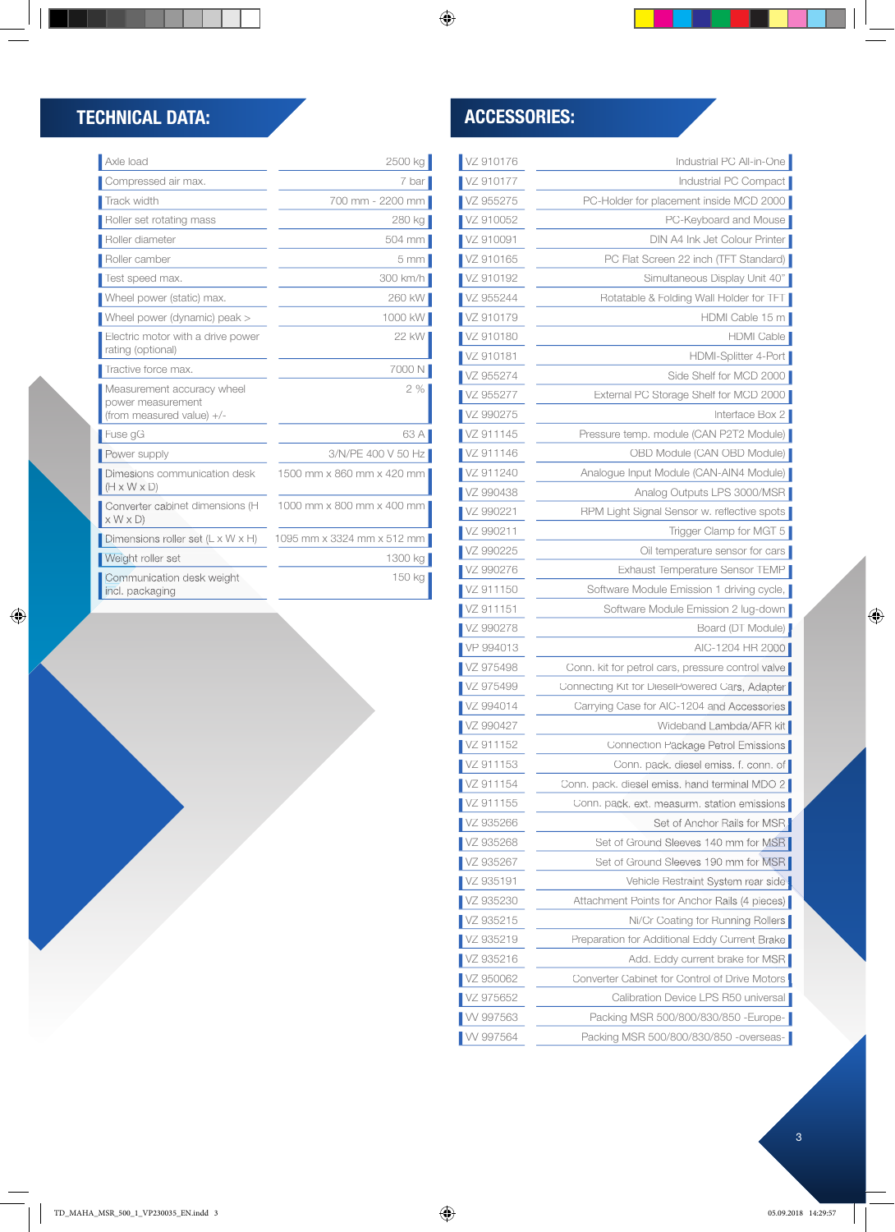$\bigoplus$ 

| VZ 910176 | Industrial PC All-in-One                          |
|-----------|---------------------------------------------------|
| VZ 910177 | Industrial PC Compact                             |
| VZ 955275 | PC-Holder for placement inside MCD 2000           |
| VZ 910052 | PC-Keyboard and Mouse                             |
| VZ 910091 | DIN A4 Ink Jet Colour Printer                     |
| VZ 910165 | PC Flat Screen 22 inch (TFT Standard)             |
| VZ 910192 | Simultaneous Display Unit 40"                     |
| VZ 955244 | Rotatable & Folding Wall Holder for TFT           |
| VZ 910179 | HDMI Cable 15 m                                   |
| VZ 910180 | HDMI Cable                                        |
| VZ 910181 | HDMI-Splitter 4-Port                              |
| VZ 955274 | Side Shelf for MCD 2000                           |
| VZ 955277 | External PC Storage Shelf for MCD 2000            |
| VZ 990275 | Interface Box 2                                   |
| VZ 911145 | Pressure temp. module (CAN P2T2 Module)           |
| VZ 911146 | OBD Module (CAN OBD Module)                       |
| VZ 911240 | Analogue Input Module (CAN-AIN4 Module)           |
| VZ 990438 | Analog Outputs LPS 3000/MSR                       |
| VZ 990221 | RPM Light Signal Sensor w. reflective spots       |
| VZ 990211 | Trigger Clamp for MGT 5                           |
| VZ 990225 | Oil temperature sensor for cars                   |
| VZ 990276 | Exhaust Temperature Sensor TEMP                   |
| VZ 911150 | Software Module Emission 1 driving cycle,         |
| VZ 911151 | Software Module Emission 2 lug-down               |
| VZ 990278 | Board (DT Module)                                 |
| VP 994013 | AIC-1204 HR 2000                                  |
| VZ 975498 | Conn. kit for petrol cars, pressure control valve |
| VZ 975499 | Connecting Kit for DieselPowered Cars, Adapter    |
| VZ 994014 | Carrying Case for AIC-1204 and Accessories        |
| VZ 990427 | Wideband Lambda/AFR kit                           |
| VZ 911152 | Connection Package Petrol Emissions               |
| VZ 911153 | Conn. pack. diesel emiss. f. conn. of             |
| VZ 911154 | Conn. pack. diesel emiss. hand terminal MDO 2     |
| VZ 911155 | Conn. pack. ext. measurm. station emissions       |
| VZ 935266 | Set of Anchor Rails for MSR                       |
| VZ 935268 | Set of Ground Sleeves 140 mm for MSR              |
| VZ 935267 | Set of Ground Sleeves 190 mm for MSB              |
| VZ 935191 | Vehicle Restraint System rear side                |
| VZ 935230 | Attachment Points for Anchor Rails (4 pieces)     |
| VZ 935215 | Ni/Cr Coating for Running Rollers                 |
| VZ 935219 | Preparation for Additional Eddy Current Brake     |
| VZ 935216 | Add. Eddy current brake for MSR                   |
| VZ 950062 | Converter Cabinet for Control of Drive Motors     |
| VZ 975652 | Calibration Device LPS R50 universal              |
| W 997563  | Packing MSR 500/800/830/850 - Europe-             |
| W 997564  | Packing MSR 500/800/830/850 -overseas-            |

# TECHNICAL DATA: ACCESSORIES:

| Axle load                                                                    | 2500 kg                    |
|------------------------------------------------------------------------------|----------------------------|
| Compressed air max.                                                          | 7 bar                      |
| Track width                                                                  | 700 mm - 2200 mm           |
| Roller set rotating mass                                                     | 280 kg                     |
| Roller diameter                                                              | 504 mm                     |
| Roller camber                                                                | 5 <sub>mm</sub>            |
| Test speed max.                                                              | 300 km/h                   |
| Wheel power (static) max.                                                    | 260 kW                     |
| Wheel power (dynamic) peak >                                                 | 1000 kW                    |
| Electric motor with a drive power<br>rating (optional)                       | 22 kW                      |
| Tractive force max.                                                          | 7000 N                     |
| Measurement accuracy wheel<br>power measurement<br>(from measured value) +/- | 2%                         |
| Fuse gG                                                                      | 63 A                       |
| Power supply                                                                 | 3/N/PE 400 V 50 Hz         |
| Dimesions communication desk<br>$(H \times W \times D)$                      | 1500 mm x 860 mm x 420 mm  |
| Converter cabinet dimensions (H<br>$\times$ W $\times$ D)                    | 1000 mm x 800 mm x 400 mm  |
| Dimensions roller set $(L \times W \times H)$                                | 1095 mm x 3324 mm x 512 mm |
| Weight roller set                                                            | 1300 kg                    |
| Communication desk weight<br>incl. packaging                                 | 150 kg                     |

 $\overline{\phantom{a}}$ 

 $|\mathbf{\Phi}|$